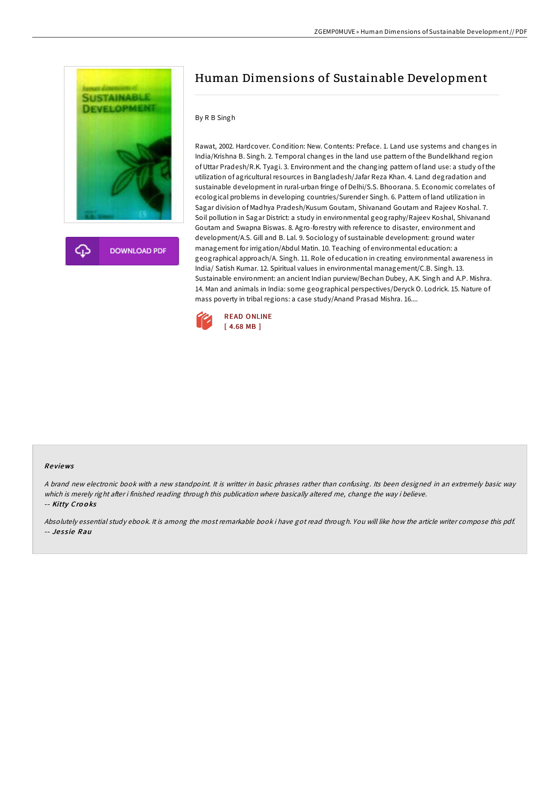

# Human Dimensions of Sustainable Development

# By R B Singh

Rawat, 2002. Hardcover. Condition: New. Contents: Preface. 1. Land use systems and changes in India/Krishna B. Singh. 2. Temporal changes in the land use pattern of the Bundelkhand region of Uttar Pradesh/R.K. Tyagi. 3. Environment and the changing pattern of land use: a study of the utilization of agricultural resources in Bangladesh/Jafar Reza Khan. 4. Land degradation and sustainable development in rural-urban fringe of Delhi/S.S. Bhoorana. 5. Economic correlates of ecological problems in developing countries/Surender Singh. 6. Pattern of land utilization in Sagar division of Madhya Pradesh/Kusum Goutam, Shivanand Goutam and Rajeev Koshal. 7. Soil pollution in Sagar District: a study in environmental geography/Rajeev Koshal, Shivanand Goutam and Swapna Biswas. 8. Agro-forestry with reference to disaster, environment and development/A.S. Gill and B. Lal. 9. Sociology of sustainable development: ground water management for irrigation/Abdul Matin. 10. Teaching of environmental education: a geographical approach/A. Singh. 11. Role of education in creating environmental awareness in India/ Satish Kumar. 12. Spiritual values in environmental management/C.B. Singh. 13. Sustainable environment: an ancient Indian purview/Bechan Dubey, A.K. Singh and A.P. Mishra. 14. Man and animals in India: some geographical perspectives/Deryck O. Lodrick. 15. Nature of mass poverty in tribal regions: a case study/Anand Prasad Mishra. 16....



#### Re views

<sup>A</sup> brand new electronic book with <sup>a</sup> new standpoint. It is writter in basic phrases rather than confusing. Its been designed in an extremely basic way which is merely right after i finished reading through this publication where basically altered me, change the way i believe. -- Kitty Crooks

Absolutely essential study ebook. It is among the most remarkable book i have got read through. You will like how the article writer compose this pdf. -- Jessie Rau